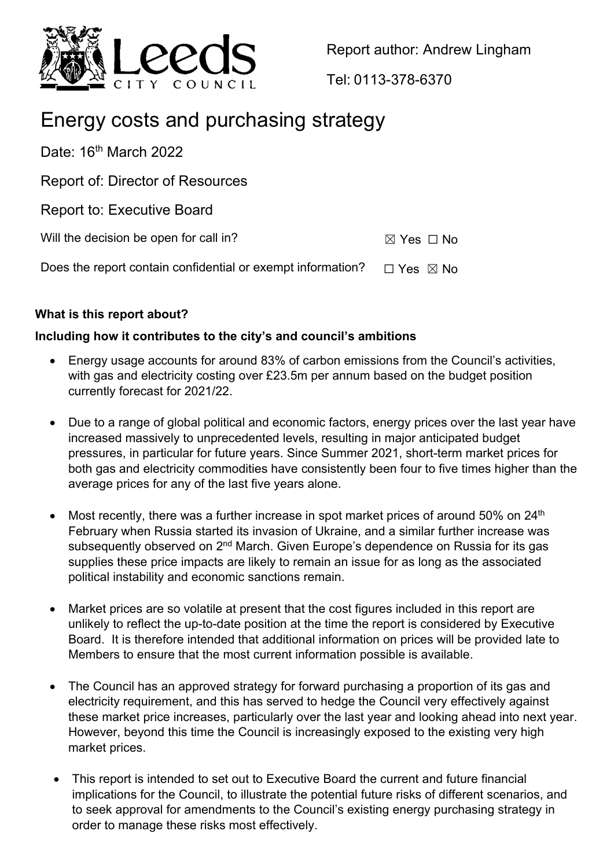

Report author: Andrew Lingham

Tel: 0113-378-6370

# Energy costs and purchasing strategy

Date: 16<sup>th</sup> March 2022

Report of: Director of Resources

Report to: Executive Board

Will the decision be open for call in?  $\boxtimes$  Yes  $\Box$  No

Does the report contain confidential or exempt information?  $\Box$  Yes  $\boxtimes$  No

# **What is this report about?**

# **Including how it contributes to the city's and council's ambitions**

- Energy usage accounts for around 83% of carbon emissions from the Council's activities, with gas and electricity costing over £23.5m per annum based on the budget position currently forecast for 2021/22.
- Due to a range of global political and economic factors, energy prices over the last year have increased massively to unprecedented levels, resulting in major anticipated budget pressures, in particular for future years. Since Summer 2021, short-term market prices for both gas and electricity commodities have consistently been four to five times higher than the average prices for any of the last five years alone.
- Most recently, there was a further increase in spot market prices of around 50% on 24<sup>th</sup> February when Russia started its invasion of Ukraine, and a similar further increase was subsequently observed on 2<sup>nd</sup> March. Given Europe's dependence on Russia for its gas supplies these price impacts are likely to remain an issue for as long as the associated political instability and economic sanctions remain.
- Market prices are so volatile at present that the cost figures included in this report are unlikely to reflect the up-to-date position at the time the report is considered by Executive Board. It is therefore intended that additional information on prices will be provided late to Members to ensure that the most current information possible is available.
- The Council has an approved strategy for forward purchasing a proportion of its gas and electricity requirement, and this has served to hedge the Council very effectively against these market price increases, particularly over the last year and looking ahead into next year. However, beyond this time the Council is increasingly exposed to the existing very high market prices.
- This report is intended to set out to Executive Board the current and future financial implications for the Council, to illustrate the potential future risks of different scenarios, and to seek approval for amendments to the Council's existing energy purchasing strategy in order to manage these risks most effectively.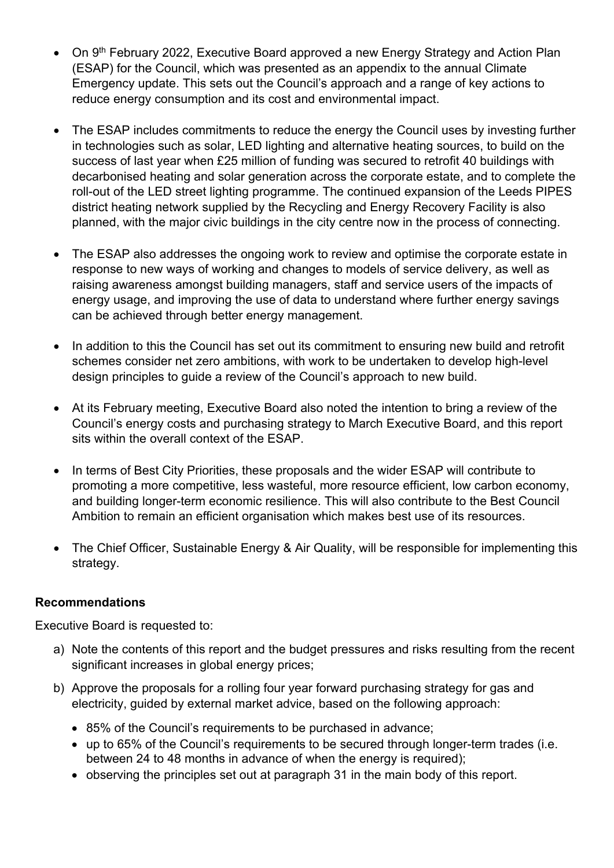- On 9<sup>th</sup> February 2022, Executive Board approved a new Energy Strategy and Action Plan (ESAP) for the Council, which was presented as an appendix to the annual Climate Emergency update. This sets out the Council's approach and a range of key actions to reduce energy consumption and its cost and environmental impact.
- The ESAP includes commitments to reduce the energy the Council uses by investing further in technologies such as solar, LED lighting and alternative heating sources, to build on the success of last year when £25 million of funding was secured to retrofit 40 buildings with decarbonised heating and solar generation across the corporate estate, and to complete the roll-out of the LED street lighting programme. The continued expansion of the Leeds PIPES district heating network supplied by the Recycling and Energy Recovery Facility is also planned, with the major civic buildings in the city centre now in the process of connecting.
- The ESAP also addresses the ongoing work to review and optimise the corporate estate in response to new ways of working and changes to models of service delivery, as well as raising awareness amongst building managers, staff and service users of the impacts of energy usage, and improving the use of data to understand where further energy savings can be achieved through better energy management.
- In addition to this the Council has set out its commitment to ensuring new build and retrofit schemes consider net zero ambitions, with work to be undertaken to develop high-level design principles to guide a review of the Council's approach to new build.
- At its February meeting, Executive Board also noted the intention to bring a review of the Council's energy costs and purchasing strategy to March Executive Board, and this report sits within the overall context of the ESAP.
- In terms of Best City Priorities, these proposals and the wider ESAP will contribute to promoting a more competitive, less wasteful, more resource efficient, low carbon economy, and building longer-term economic resilience. This will also contribute to the Best Council Ambition to remain an efficient organisation which makes best use of its resources.
- The Chief Officer, Sustainable Energy & Air Quality, will be responsible for implementing this strategy.

#### **Recommendations**

Executive Board is requested to:

- a) Note the contents of this report and the budget pressures and risks resulting from the recent significant increases in global energy prices;
- b) Approve the proposals for a rolling four year forward purchasing strategy for gas and electricity, guided by external market advice, based on the following approach:
	- 85% of the Council's requirements to be purchased in advance;
	- up to 65% of the Council's requirements to be secured through longer-term trades (i.e. between 24 to 48 months in advance of when the energy is required);
	- observing the principles set out at paragraph 31 in the main body of this report.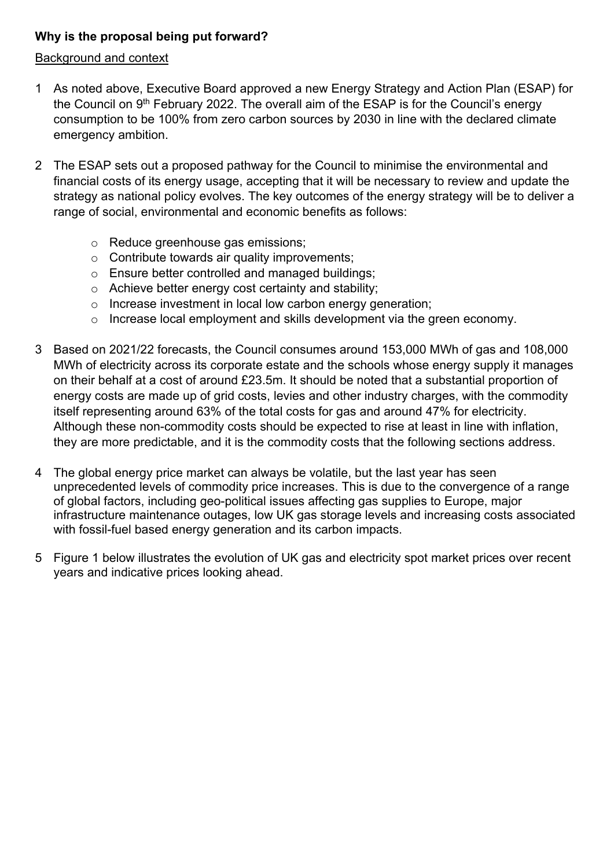# **Why is the proposal being put forward?**

#### Background and context

- 1 As noted above, Executive Board approved a new Energy Strategy and Action Plan (ESAP) for the Council on  $9<sup>th</sup>$  February 2022. The overall aim of the ESAP is for the Council's energy consumption to be 100% from zero carbon sources by 2030 in line with the declared climate emergency ambition.
- 2 The ESAP sets out a proposed pathway for the Council to minimise the environmental and financial costs of its energy usage, accepting that it will be necessary to review and update the strategy as national policy evolves. The key outcomes of the energy strategy will be to deliver a range of social, environmental and economic benefits as follows:
	- o Reduce greenhouse gas emissions;
	- o Contribute towards air quality improvements;
	- o Ensure better controlled and managed buildings;
	- o Achieve better energy cost certainty and stability;
	- o Increase investment in local low carbon energy generation;
	- o Increase local employment and skills development via the green economy.
- 3 Based on 2021/22 forecasts, the Council consumes around 153,000 MWh of gas and 108,000 MWh of electricity across its corporate estate and the schools whose energy supply it manages on their behalf at a cost of around £23.5m. It should be noted that a substantial proportion of energy costs are made up of grid costs, levies and other industry charges, with the commodity itself representing around 63% of the total costs for gas and around 47% for electricity. Although these non-commodity costs should be expected to rise at least in line with inflation, they are more predictable, and it is the commodity costs that the following sections address.
- 4 The global energy price market can always be volatile, but the last year has seen unprecedented levels of commodity price increases. This is due to the convergence of a range of global factors, including geo-political issues affecting gas supplies to Europe, major infrastructure maintenance outages, low UK gas storage levels and increasing costs associated with fossil-fuel based energy generation and its carbon impacts.
- 5 Figure 1 below illustrates the evolution of UK gas and electricity spot market prices over recent years and indicative prices looking ahead.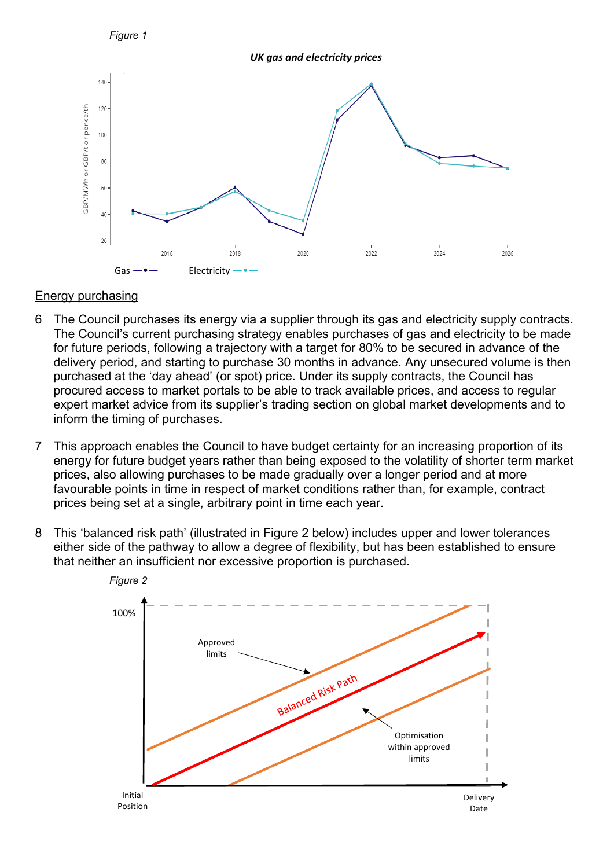

*UK gas and electricity prices*



#### Energy purchasing

- 6 The Council purchases its energy via a supplier through its gas and electricity supply contracts. The Council's current purchasing strategy enables purchases of gas and electricity to be made for future periods, following a trajectory with a target for 80% to be secured in advance of the delivery period, and starting to purchase 30 months in advance. Any unsecured volume is then purchased at the 'day ahead' (or spot) price. Under its supply contracts, the Council has procured access to market portals to be able to track available prices, and access to regular expert market advice from its supplier's trading section on global market developments and to inform the timing of purchases.
- 7 This approach enables the Council to have budget certainty for an increasing proportion of its energy for future budget years rather than being exposed to the volatility of shorter term market prices, also allowing purchases to be made gradually over a longer period and at more favourable points in time in respect of market conditions rather than, for example, contract prices being set at a single, arbitrary point in time each year.
- 8 This 'balanced risk path' (illustrated in Figure 2 below) includes upper and lower tolerances either side of the pathway to allow a degree of flexibility, but has been established to ensure that neither an insufficient nor excessive proportion is purchased.

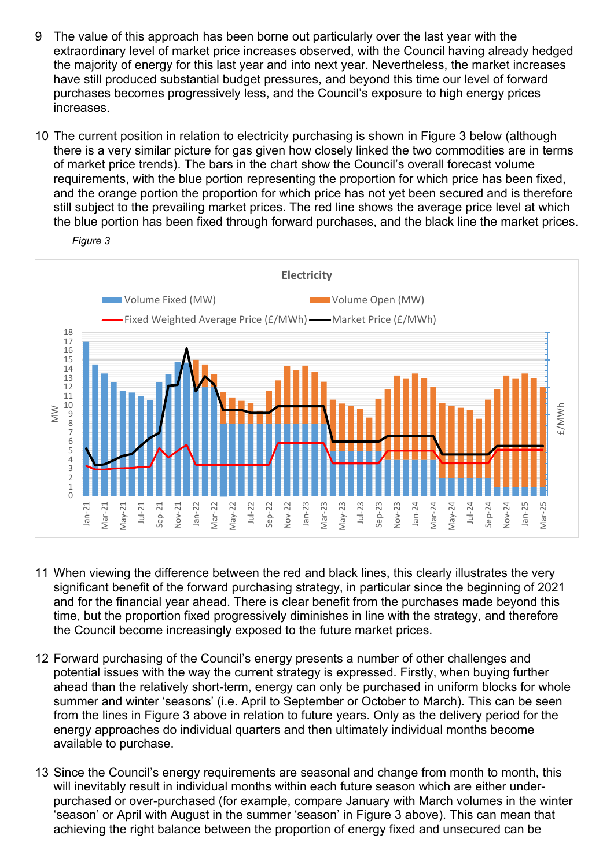- 9 The value of this approach has been borne out particularly over the last year with the extraordinary level of market price increases observed, with the Council having already hedged the majority of energy for this last year and into next year. Nevertheless, the market increases have still produced substantial budget pressures, and beyond this time our level of forward purchases becomes progressively less, and the Council's exposure to high energy prices increases.
- 10 The current position in relation to electricity purchasing is shown in Figure 3 below (although there is a very similar picture for gas given how closely linked the two commodities are in terms of market price trends). The bars in the chart show the Council's overall forecast volume requirements, with the blue portion representing the proportion for which price has been fixed, and the orange portion the proportion for which price has not yet been secured and is therefore still subject to the prevailing market prices. The red line shows the average price level at which the blue portion has been fixed through forward purchases, and the black line the market prices.



- 11 When viewing the difference between the red and black lines, this clearly illustrates the very significant benefit of the forward purchasing strategy, in particular since the beginning of 2021 and for the financial year ahead. There is clear benefit from the purchases made beyond this time, but the proportion fixed progressively diminishes in line with the strategy, and therefore the Council become increasingly exposed to the future market prices.
- 12 Forward purchasing of the Council's energy presents a number of other challenges and potential issues with the way the current strategy is expressed. Firstly, when buying further ahead than the relatively short-term, energy can only be purchased in uniform blocks for whole summer and winter 'seasons' (i.e. April to September or October to March). This can be seen from the lines in Figure 3 above in relation to future years. Only as the delivery period for the energy approaches do individual quarters and then ultimately individual months become available to purchase.
- 13 Since the Council's energy requirements are seasonal and change from month to month, this will inevitably result in individual months within each future season which are either underpurchased or over-purchased (for example, compare January with March volumes in the winter 'season' or April with August in the summer 'season' in Figure 3 above). This can mean that achieving the right balance between the proportion of energy fixed and unsecured can be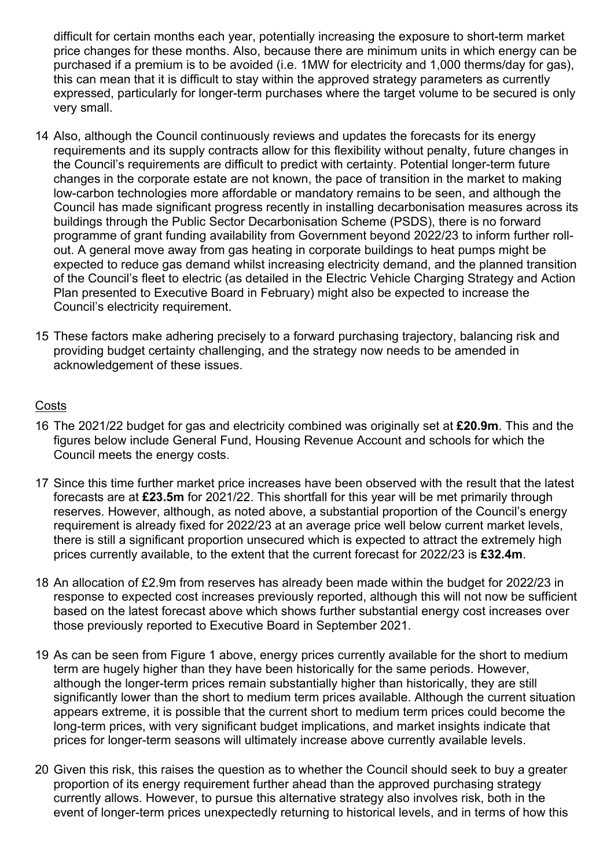difficult for certain months each year, potentially increasing the exposure to short-term market price changes for these months. Also, because there are minimum units in which energy can be purchased if a premium is to be avoided (i.e. 1MW for electricity and 1,000 therms/day for gas), this can mean that it is difficult to stay within the approved strategy parameters as currently expressed, particularly for longer-term purchases where the target volume to be secured is only very small.

- 14 Also, although the Council continuously reviews and updates the forecasts for its energy requirements and its supply contracts allow for this flexibility without penalty, future changes in the Council's requirements are difficult to predict with certainty. Potential longer-term future changes in the corporate estate are not known, the pace of transition in the market to making low-carbon technologies more affordable or mandatory remains to be seen, and although the Council has made significant progress recently in installing decarbonisation measures across its buildings through the Public Sector Decarbonisation Scheme (PSDS), there is no forward programme of grant funding availability from Government beyond 2022/23 to inform further rollout. A general move away from gas heating in corporate buildings to heat pumps might be expected to reduce gas demand whilst increasing electricity demand, and the planned transition of the Council's fleet to electric (as detailed in the Electric Vehicle Charging Strategy and Action Plan presented to Executive Board in February) might also be expected to increase the Council's electricity requirement.
- 15 These factors make adhering precisely to a forward purchasing trajectory, balancing risk and providing budget certainty challenging, and the strategy now needs to be amended in acknowledgement of these issues.

#### **Costs**

- 16 The 2021/22 budget for gas and electricity combined was originally set at **£20.9m**. This and the figures below include General Fund, Housing Revenue Account and schools for which the Council meets the energy costs.
- 17 Since this time further market price increases have been observed with the result that the latest forecasts are at **£23.5m** for 2021/22. This shortfall for this year will be met primarily through reserves. However, although, as noted above, a substantial proportion of the Council's energy requirement is already fixed for 2022/23 at an average price well below current market levels, there is still a significant proportion unsecured which is expected to attract the extremely high prices currently available, to the extent that the current forecast for 2022/23 is **£32.4m**.
- 18 An allocation of £2.9m from reserves has already been made within the budget for 2022/23 in response to expected cost increases previously reported, although this will not now be sufficient based on the latest forecast above which shows further substantial energy cost increases over those previously reported to Executive Board in September 2021.
- 19 As can be seen from Figure 1 above, energy prices currently available for the short to medium term are hugely higher than they have been historically for the same periods. However, although the longer-term prices remain substantially higher than historically, they are still significantly lower than the short to medium term prices available. Although the current situation appears extreme, it is possible that the current short to medium term prices could become the long-term prices, with very significant budget implications, and market insights indicate that prices for longer-term seasons will ultimately increase above currently available levels.
- 20 Given this risk, this raises the question as to whether the Council should seek to buy a greater proportion of its energy requirement further ahead than the approved purchasing strategy currently allows. However, to pursue this alternative strategy also involves risk, both in the event of longer-term prices unexpectedly returning to historical levels, and in terms of how this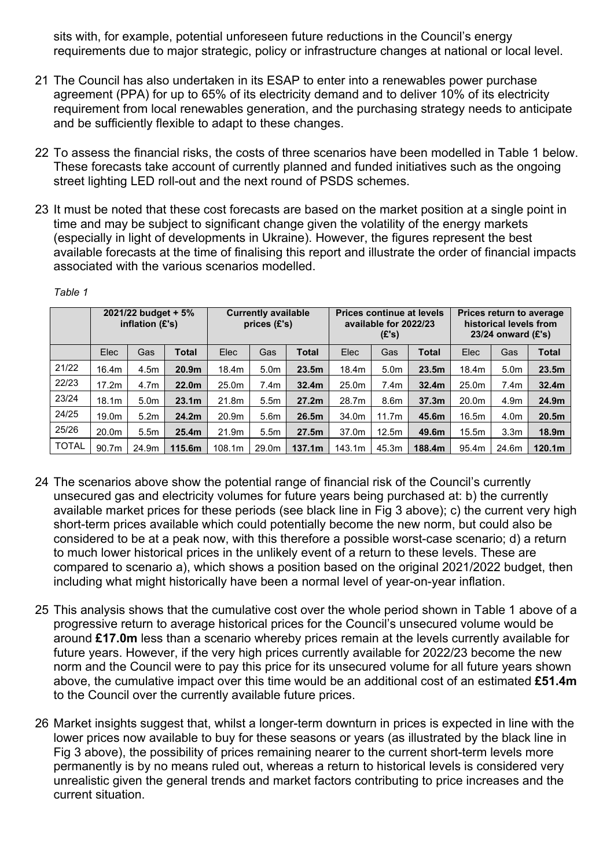sits with, for example, potential unforeseen future reductions in the Council's energy requirements due to major strategic, policy or infrastructure changes at national or local level.

- 21 The Council has also undertaken in its ESAP to enter into a renewables power purchase agreement (PPA) for up to 65% of its electricity demand and to deliver 10% of its electricity requirement from local renewables generation, and the purchasing strategy needs to anticipate and be sufficiently flexible to adapt to these changes.
- 22 To assess the financial risks, the costs of three scenarios have been modelled in Table 1 below. These forecasts take account of currently planned and funded initiatives such as the ongoing street lighting LED roll-out and the next round of PSDS schemes.
- 23 It must be noted that these cost forecasts are based on the market position at a single point in time and may be subject to significant change given the volatility of the energy markets (especially in light of developments in Ukraine). However, the figures represent the best available forecasts at the time of finalising this report and illustrate the order of financial impacts associated with the various scenarios modelled.

|              | 2021/22 budget + 5%<br>inflation $(E's)$ |                  | <b>Currently available</b><br>prices (£'s) |        |                  | <b>Prices continue at levels</b><br>available for 2022/23<br>(E's) |        |                  | <b>Prices return to average</b><br>historical levels from<br>23/24 onward $(E's)$ |       |                  |                    |
|--------------|------------------------------------------|------------------|--------------------------------------------|--------|------------------|--------------------------------------------------------------------|--------|------------------|-----------------------------------------------------------------------------------|-------|------------------|--------------------|
|              | Elec                                     | Gas              | <b>Total</b>                               | Elec   | Gas              | Total                                                              | Elec   | Gas              | <b>Total</b>                                                                      | Elec  | Gas              | <b>Total</b>       |
| 21/22        | 16.4m                                    | 4.5m             | 20.9 <sub>m</sub>                          | 18.4m  | 5.0 <sub>m</sub> | 23.5m                                                              | 18.4m  | 5.0 <sub>m</sub> | 23.5m                                                                             | 18.4m | 5.0 <sub>m</sub> | 23.5m              |
| 22/23        | 17.2m                                    | 4.7 <sub>m</sub> | 22.0 <sub>m</sub>                          | 25.0m  | 7.4m             | 32.4m                                                              | 25.0m  | 7.4m             | 32.4 <sub>m</sub>                                                                 | 25.0m | 7.4m             | 32.4 <sub>m</sub>  |
| 23/24        | 18.1 <sub>m</sub>                        | 5.0 <sub>m</sub> | 23.1 <sub>m</sub>                          | 21.8m  | 5.5 <sub>m</sub> | 27.2m                                                              | 28.7m  | 8.6 <sub>m</sub> | 37.3 <sub>m</sub>                                                                 | 20.0m | 4.9 <sub>m</sub> | 24.9m              |
| 24/25        | 19.0 <sub>m</sub>                        | 5.2 <sub>m</sub> | 24.2 <sub>m</sub>                          | 20.9m  | 5.6 <sub>m</sub> | 26.5m                                                              | 34.0m  | 11.7m            | 45.6m                                                                             | 16.5m | 4.0 <sub>m</sub> | 20.5 <sub>m</sub>  |
| 25/26        | 20.0m                                    | 5.5 <sub>m</sub> | 25.4 <sub>m</sub>                          | 21.9m  | 5.5 <sub>m</sub> | 27.5m                                                              | 37.0m  | 12.5m            | 49.6m                                                                             | 15.5m | 3.3 <sub>m</sub> | 18.9 <sub>m</sub>  |
| <b>TOTAL</b> | 90.7m                                    | 24.9m            | 115.6m                                     | 108.1m | 29.0m            | 137.1m                                                             | 143.1m | 45.3m            | 188.4m                                                                            | 95.4m | 24.6m            | 120.1 <sub>m</sub> |

*Table 1* 

- 24 The scenarios above show the potential range of financial risk of the Council's currently unsecured gas and electricity volumes for future years being purchased at: b) the currently available market prices for these periods (see black line in Fig 3 above); c) the current very high short-term prices available which could potentially become the new norm, but could also be considered to be at a peak now, with this therefore a possible worst-case scenario; d) a return to much lower historical prices in the unlikely event of a return to these levels. These are compared to scenario a), which shows a position based on the original 2021/2022 budget, then including what might historically have been a normal level of year-on-year inflation.
- 25 This analysis shows that the cumulative cost over the whole period shown in Table 1 above of a progressive return to average historical prices for the Council's unsecured volume would be around **£17.0m** less than a scenario whereby prices remain at the levels currently available for future years. However, if the very high prices currently available for 2022/23 become the new norm and the Council were to pay this price for its unsecured volume for all future years shown above, the cumulative impact over this time would be an additional cost of an estimated **£51.4m** to the Council over the currently available future prices.
- 26 Market insights suggest that, whilst a longer-term downturn in prices is expected in line with the lower prices now available to buy for these seasons or years (as illustrated by the black line in Fig 3 above), the possibility of prices remaining nearer to the current short-term levels more permanently is by no means ruled out, whereas a return to historical levels is considered very unrealistic given the general trends and market factors contributing to price increases and the current situation.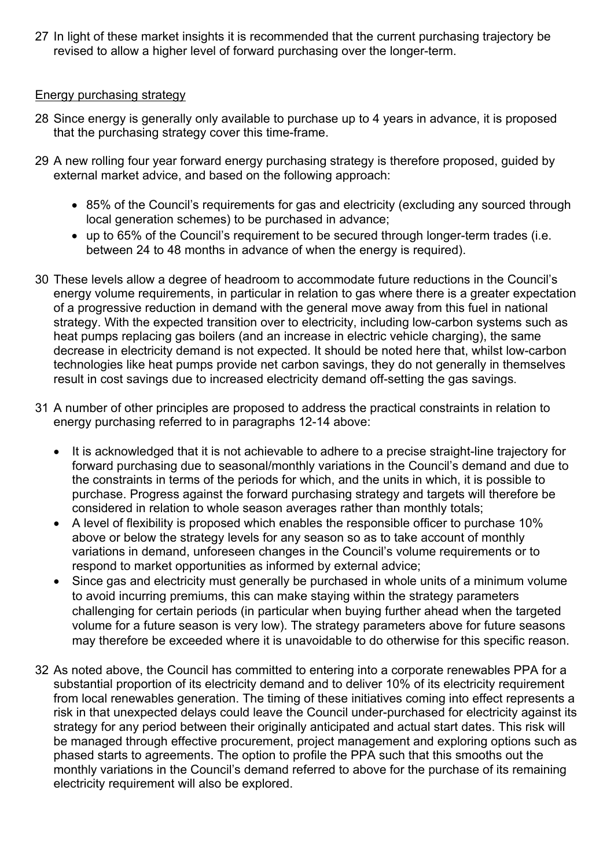27 In light of these market insights it is recommended that the current purchasing trajectory be revised to allow a higher level of forward purchasing over the longer-term.

#### Energy purchasing strategy

- 28 Since energy is generally only available to purchase up to 4 years in advance, it is proposed that the purchasing strategy cover this time-frame.
- 29 A new rolling four year forward energy purchasing strategy is therefore proposed, guided by external market advice, and based on the following approach:
	- 85% of the Council's requirements for gas and electricity (excluding any sourced through local generation schemes) to be purchased in advance;
	- up to 65% of the Council's requirement to be secured through longer-term trades (i.e. between 24 to 48 months in advance of when the energy is required).
- 30 These levels allow a degree of headroom to accommodate future reductions in the Council's energy volume requirements, in particular in relation to gas where there is a greater expectation of a progressive reduction in demand with the general move away from this fuel in national strategy. With the expected transition over to electricity, including low-carbon systems such as heat pumps replacing gas boilers (and an increase in electric vehicle charging), the same decrease in electricity demand is not expected. It should be noted here that, whilst low-carbon technologies like heat pumps provide net carbon savings, they do not generally in themselves result in cost savings due to increased electricity demand off-setting the gas savings.
- 31 A number of other principles are proposed to address the practical constraints in relation to energy purchasing referred to in paragraphs 12-14 above:
	- It is acknowledged that it is not achievable to adhere to a precise straight-line trajectory for forward purchasing due to seasonal/monthly variations in the Council's demand and due to the constraints in terms of the periods for which, and the units in which, it is possible to purchase. Progress against the forward purchasing strategy and targets will therefore be considered in relation to whole season averages rather than monthly totals;
	- A level of flexibility is proposed which enables the responsible officer to purchase 10% above or below the strategy levels for any season so as to take account of monthly variations in demand, unforeseen changes in the Council's volume requirements or to respond to market opportunities as informed by external advice;
	- Since gas and electricity must generally be purchased in whole units of a minimum volume to avoid incurring premiums, this can make staying within the strategy parameters challenging for certain periods (in particular when buying further ahead when the targeted volume for a future season is very low). The strategy parameters above for future seasons may therefore be exceeded where it is unavoidable to do otherwise for this specific reason.
- 32 As noted above, the Council has committed to entering into a corporate renewables PPA for a substantial proportion of its electricity demand and to deliver 10% of its electricity requirement from local renewables generation. The timing of these initiatives coming into effect represents a risk in that unexpected delays could leave the Council under-purchased for electricity against its strategy for any period between their originally anticipated and actual start dates. This risk will be managed through effective procurement, project management and exploring options such as phased starts to agreements. The option to profile the PPA such that this smooths out the monthly variations in the Council's demand referred to above for the purchase of its remaining electricity requirement will also be explored.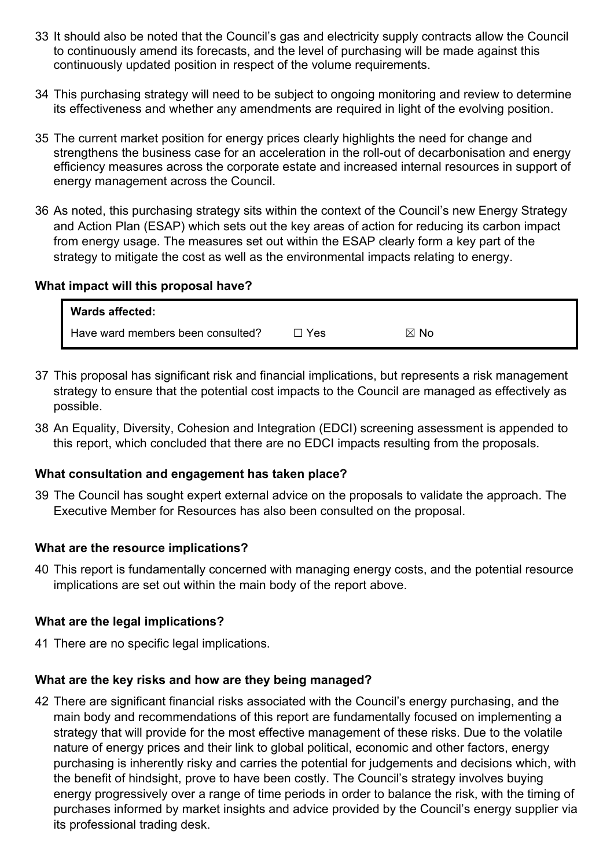- 33 It should also be noted that the Council's gas and electricity supply contracts allow the Council to continuously amend its forecasts, and the level of purchasing will be made against this continuously updated position in respect of the volume requirements.
- 34 This purchasing strategy will need to be subject to ongoing monitoring and review to determine its effectiveness and whether any amendments are required in light of the evolving position.
- 35 The current market position for energy prices clearly highlights the need for change and strengthens the business case for an acceleration in the roll-out of decarbonisation and energy efficiency measures across the corporate estate and increased internal resources in support of energy management across the Council.
- 36 As noted, this purchasing strategy sits within the context of the Council's new Energy Strategy and Action Plan (ESAP) which sets out the key areas of action for reducing its carbon impact from energy usage. The measures set out within the ESAP clearly form a key part of the strategy to mitigate the cost as well as the environmental impacts relating to energy.

#### **What impact will this proposal have?**

| <b>Wards affected:</b>            |       |                |  |
|-----------------------------------|-------|----------------|--|
| Have ward members been consulted? | □ Yes | $\boxtimes$ No |  |

- 37 This proposal has significant risk and financial implications, but represents a risk management strategy to ensure that the potential cost impacts to the Council are managed as effectively as possible.
- 38 An Equality, Diversity, Cohesion and Integration (EDCI) screening assessment is appended to this report, which concluded that there are no EDCI impacts resulting from the proposals.

#### **What consultation and engagement has taken place?**

39 The Council has sought expert external advice on the proposals to validate the approach. The Executive Member for Resources has also been consulted on the proposal.

#### **What are the resource implications?**

40 This report is fundamentally concerned with managing energy costs, and the potential resource implications are set out within the main body of the report above.

#### **What are the legal implications?**

41 There are no specific legal implications.

# **What are the key risks and how are they being managed?**

42 There are significant financial risks associated with the Council's energy purchasing, and the main body and recommendations of this report are fundamentally focused on implementing a strategy that will provide for the most effective management of these risks. Due to the volatile nature of energy prices and their link to global political, economic and other factors, energy purchasing is inherently risky and carries the potential for judgements and decisions which, with the benefit of hindsight, prove to have been costly. The Council's strategy involves buying energy progressively over a range of time periods in order to balance the risk, with the timing of purchases informed by market insights and advice provided by the Council's energy supplier via its professional trading desk.